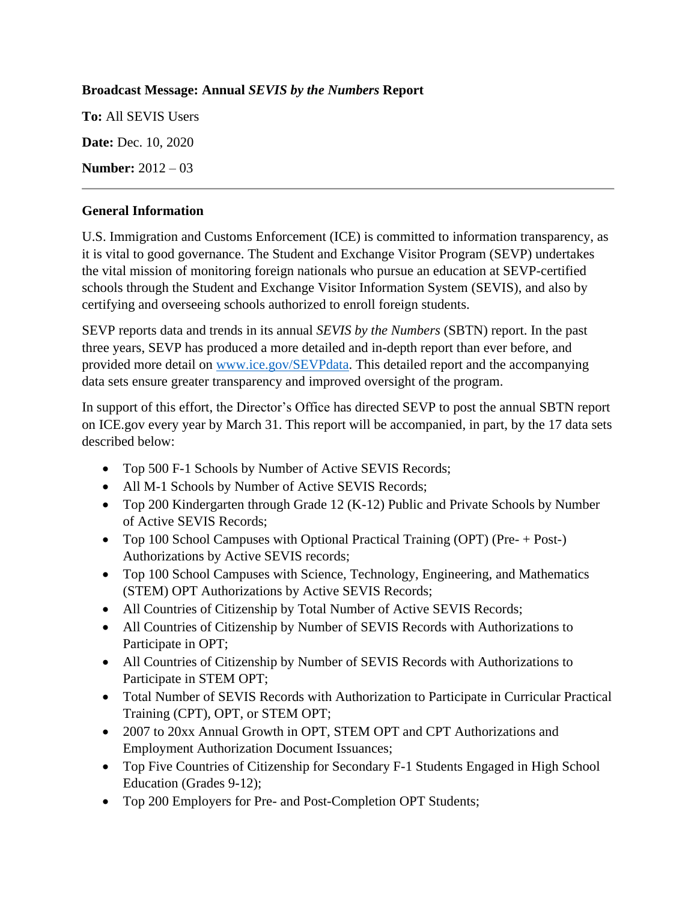## **Broadcast Message: Annual** *SEVIS by the Numbers* **Report**

**To:** All SEVIS Users **Date:** Dec. 10, 2020 **Number:** 2012 – 03

## **General Information**

U.S. Immigration and Customs Enforcement (ICE) is committed to information transparency, as it is vital to good governance. The Student and Exchange Visitor Program (SEVP) undertakes the vital mission of monitoring foreign nationals who pursue an education at SEVP-certified schools through the Student and Exchange Visitor Information System (SEVIS), and also by certifying and overseeing schools authorized to enroll foreign students.

SEVP reports data and trends in its annual *SEVIS by the Numbers* (SBTN) report. In the past three years, SEVP has produced a more detailed and in-depth report than ever before, and provided more detail on [www.ice.gov/SEVPdata.](http://www.ice.gov/SEVPdata) This detailed report and the accompanying data sets ensure greater transparency and improved oversight of the program.

In support of this effort, the Director's Office has directed SEVP to post the annual SBTN report on ICE.gov every year by March 31. This report will be accompanied, in part, by the 17 data sets described below:

- Top 500 F-1 Schools by Number of Active SEVIS Records;
- All M-1 Schools by Number of Active SEVIS Records;
- Top 200 Kindergarten through Grade 12 (K-12) Public and Private Schools by Number of Active SEVIS Records;
- Top 100 School Campuses with Optional Practical Training (OPT) (Pre- + Post-) Authorizations by Active SEVIS records;
- Top 100 School Campuses with Science, Technology, Engineering, and Mathematics (STEM) OPT Authorizations by Active SEVIS Records;
- All Countries of Citizenship by Total Number of Active SEVIS Records;
- All Countries of Citizenship by Number of SEVIS Records with Authorizations to Participate in OPT;
- All Countries of Citizenship by Number of SEVIS Records with Authorizations to Participate in STEM OPT;
- Total Number of SEVIS Records with Authorization to Participate in Curricular Practical Training (CPT), OPT, or STEM OPT;
- 2007 to 20xx Annual Growth in OPT, STEM OPT and CPT Authorizations and Employment Authorization Document Issuances;
- Top Five Countries of Citizenship for Secondary F-1 Students Engaged in High School Education (Grades 9-12);
- Top 200 Employers for Pre- and Post-Completion OPT Students;